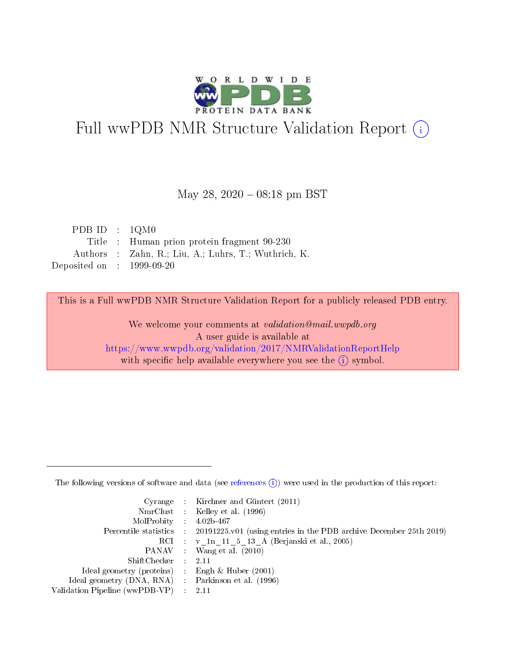

# Full wwPDB NMR Structure Validation Report (i)

#### May 28,  $2020 - 08:18$  pm BST

| PDB ID : $1QM0$             |                                                      |
|-----------------------------|------------------------------------------------------|
|                             | Title : Human prion protein fragment 90-230          |
|                             | Authors : Zahn, R.; Liu, A.; Luhrs, T.; Wuthrich, K. |
| Deposited on : $1999-09-20$ |                                                      |

This is a Full wwPDB NMR Structure Validation Report for a publicly released PDB entry.

We welcome your comments at *validation@mail.wwpdb.org* A user guide is available at <https://www.wwpdb.org/validation/2017/NMRValidationReportHelp> with specific help available everywhere you see the  $(i)$  symbol.

The following versions of software and data (see [references](https://www.wwpdb.org/validation/2017/NMRValidationReportHelp#references)  $(1)$ ) were used in the production of this report:

|                                                     | Cyrange : Kirchner and Güntert $(2011)$                                                    |
|-----------------------------------------------------|--------------------------------------------------------------------------------------------|
|                                                     | NmrClust : Kelley et al. (1996)                                                            |
| $MolProbability$ 4.02b-467                          |                                                                                            |
|                                                     | Percentile statistics : 20191225.v01 (using entries in the PDB archive December 25th 2019) |
|                                                     | RCI : v 1n 11 5 13 A (Berjanski et al., 2005)                                              |
|                                                     | PANAV Wang et al. (2010)                                                                   |
| $ShiftChecker$ 2.11                                 |                                                                                            |
| Ideal geometry (proteins) : Engh $\&$ Huber (2001)  |                                                                                            |
| Ideal geometry (DNA, RNA) : Parkinson et al. (1996) |                                                                                            |
| Validation Pipeline (wwPDB-VP)                      | $\sim 2.11$                                                                                |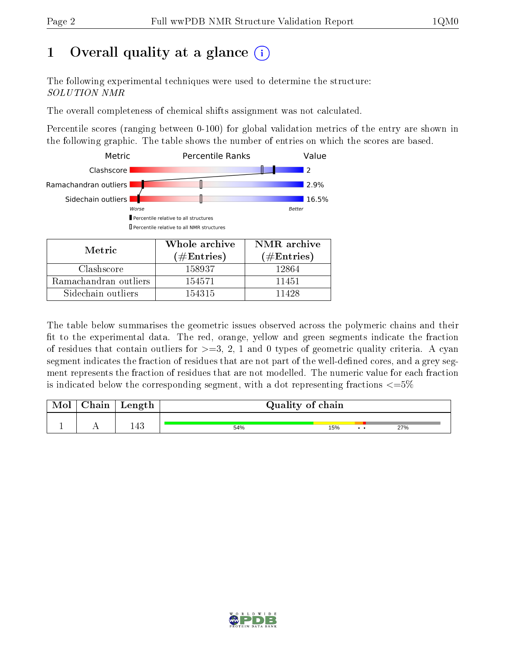## 1 [O](https://www.wwpdb.org/validation/2017/NMRValidationReportHelp#overall_quality)verall quality at a glance (i)

The following experimental techniques were used to determine the structure: SOLUTION NMR

The overall completeness of chemical shifts assignment was not calculated.

Percentile scores (ranging between 0-100) for global validation metrics of the entry are shown in the following graphic. The table shows the number of entries on which the scores are based.



Sidechain outliers 154315 11428

The table below summarises the geometric issues observed across the polymeric chains and their fit to the experimental data. The red, orange, yellow and green segments indicate the fraction of residues that contain outliers for  $>=3, 2, 1$  and 0 types of geometric quality criteria. A cyan segment indicates the fraction of residues that are not part of the well-defined cores, and a grey segment represents the fraction of residues that are not modelled. The numeric value for each fraction is indicated below the corresponding segment, with a dot representing fractions  $\epsilon = 5\%$ 

| Mol | Chain | Length | Quality of chain |     |     |     |
|-----|-------|--------|------------------|-----|-----|-----|
|     |       | 143    | 54%              | 15% | . . | 27% |

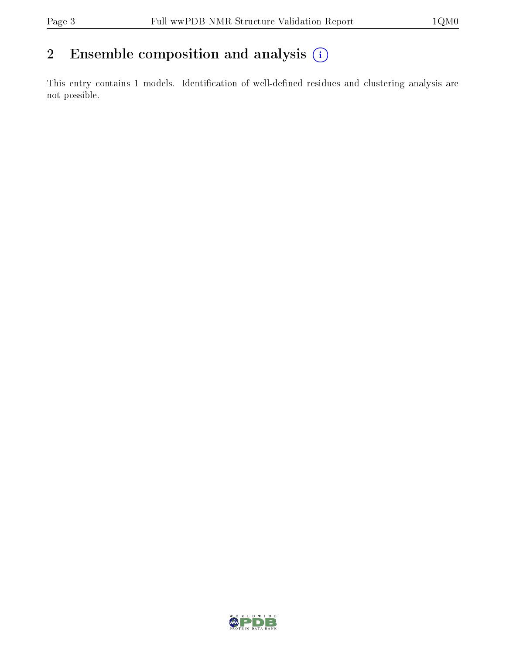### 2 Ensemble composition and analysis  $(i)$

This entry contains 1 models. Identification of well-defined residues and clustering analysis are not possible.

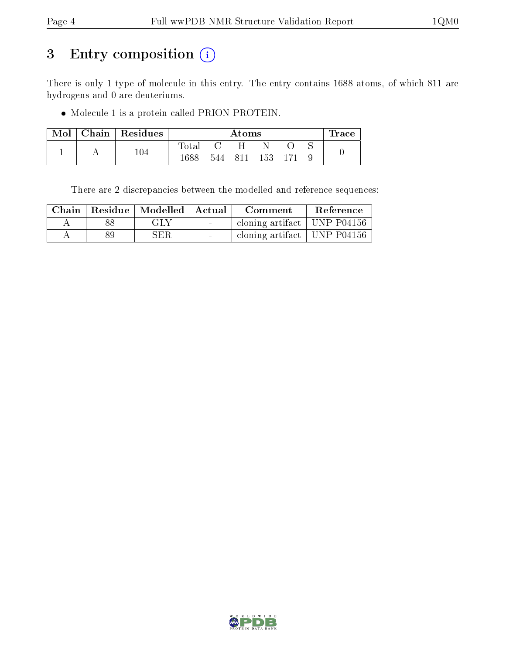## 3 Entry composition (i)

There is only 1 type of molecule in this entry. The entry contains 1688 atoms, of which 811 are hydrogens and 0 are deuteriums.

Molecule 1 is a protein called PRION PROTEIN.

| Mol | Chain   Residues |              | $\rm{Atoms}$ |     |     |  |  | Trace |
|-----|------------------|--------------|--------------|-----|-----|--|--|-------|
|     |                  | ${\rm Iota}$ |              |     |     |  |  |       |
|     | $104\,$          | 1688         | 544          | 811 | 153 |  |  |       |

There are 2 discrepancies between the modelled and reference sequences:

|    | Chain   Residue   Modelled   Actual |                          | Comment                         | Reference |
|----|-------------------------------------|--------------------------|---------------------------------|-----------|
|    | GLY                                 | <b>Contract Contract</b> | cloning artifact   UNP P04156   |           |
| 89 | SER                                 | <b>Contract Contract</b> | cloning artifact   UNP $P04156$ |           |

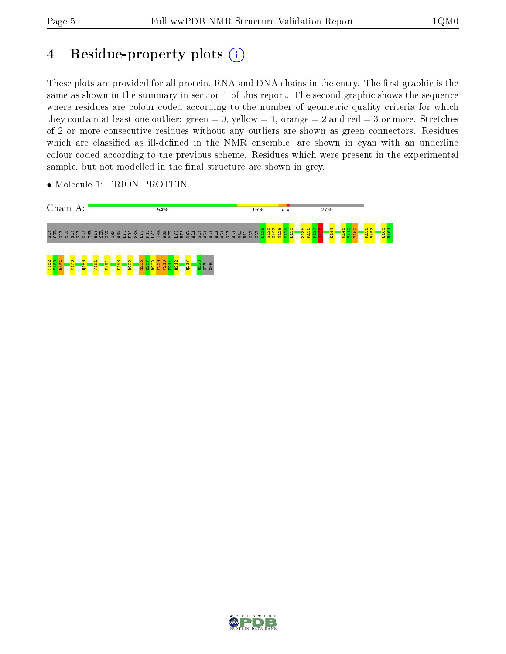## 4 Residue-property plots  $(i)$

These plots are provided for all protein, RNA and DNA chains in the entry. The first graphic is the same as shown in the summary in section 1 of this report. The second graphic shows the sequence where residues are colour-coded according to the number of geometric quality criteria for which they contain at least one outlier: green  $= 0$ , yellow  $= 1$ , orange  $= 2$  and red  $= 3$  or more. Stretches of 2 or more consecutive residues without any outliers are shown as green connectors. Residues which are classified as ill-defined in the NMR ensemble, are shown in cyan with an underline colour-coded according to the previous scheme. Residues which were present in the experimental sample, but not modelled in the final structure are shown in grey.

• Molecule 1: PRION PROTEIN



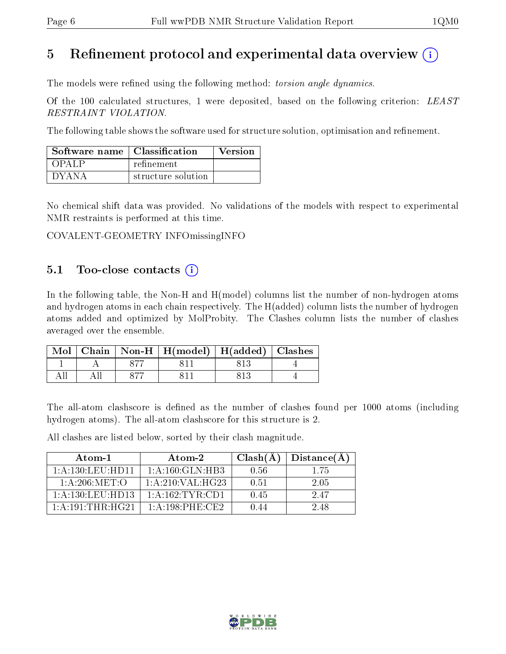### 5 Refinement protocol and experimental data overview  $\binom{1}{k}$

The models were refined using the following method: *torsion angle dynamics*.

Of the 100 calculated structures, 1 were deposited, based on the following criterion: LEAST RESTRAINT VIOLATION.

The following table shows the software used for structure solution, optimisation and refinement.

| Software name   Classification |                    | Version |
|--------------------------------|--------------------|---------|
| OPAL P                         | refinement         |         |
| $\Gamma$ d Y A N A             | structure solution |         |

No chemical shift data was provided. No validations of the models with respect to experimental NMR restraints is performed at this time.

COVALENT-GEOMETRY INFOmissingINFO

#### 5.1 Too-close contacts  $(i)$

In the following table, the Non-H and H(model) columns list the number of non-hydrogen atoms and hydrogen atoms in each chain respectively. The H(added) column lists the number of hydrogen atoms added and optimized by MolProbity. The Clashes column lists the number of clashes averaged over the ensemble.

|  | Mol   Chain   Non-H   H(model)   H(added)   Clashes |  |
|--|-----------------------------------------------------|--|
|  |                                                     |  |
|  |                                                     |  |

The all-atom clashscore is defined as the number of clashes found per 1000 atoms (including hydrogen atoms). The all-atom clashscore for this structure is 2.

All clashes are listed below, sorted by their clash magnitude.

| Atom-1                         | Atom-2              | $Clash(\AA)$ | Distance(A) |
|--------------------------------|---------------------|--------------|-------------|
| $1:$ A $:130:$ L EU $:$ H D 11 | 1: A:160: GLN:HB3   | 0.56         | 1 75        |
| 1: A:206: MET:O                | 1: A:210: VAL: HG23 | 0.51         | -2.05       |
| $1:$ A $:130:$ LEU HD13        | 1:A:162:TYR:CD1     | 0.45         | 247         |
| 1:A:191:THR:HG21               | $1: A:198:$ PHE:CE2 | () 44        | 2.48        |

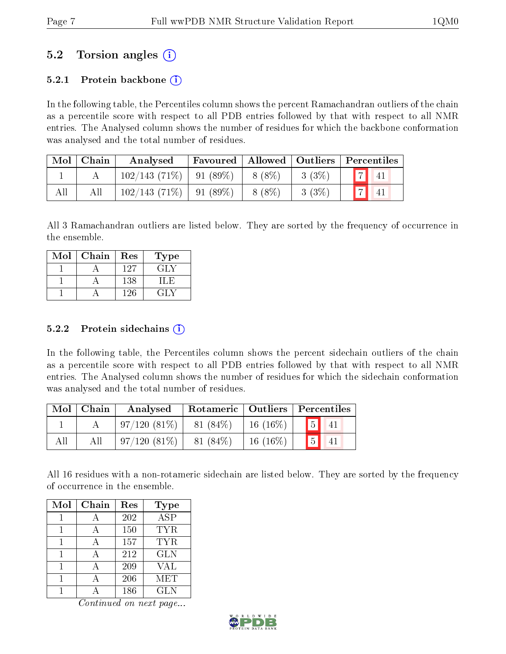### 5.2 Torsion angles (i)

#### 5.2.1 Protein backbone  $(i)$

In the following table, the Percentiles column shows the percent Ramachandran outliers of the chain as a percentile score with respect to all PDB entries followed by that with respect to all NMR entries. The Analysed column shows the number of residues for which the backbone conformation was analysed and the total number of residues.

| Mol | Chain | Analysed        |                  |        |          | Favoured   Allowed   Outliers   Percentiles |
|-----|-------|-----------------|------------------|--------|----------|---------------------------------------------|
|     |       | $102/143(71\%)$ | $\vert$ 91 (89%) | 8 (8%) | $3(3\%)$ | $\overline{a}$<br>41                        |
| All | All   | 102/143(71%)    | $-91(89\%)$      | 8 (8%) | 3(3%)    | 41                                          |

All 3 Ramachandran outliers are listed below. They are sorted by the frequency of occurrence in the ensemble.

| Mol | Chain | Res | Type |
|-----|-------|-----|------|
|     |       | 127 | GLY  |
|     |       | 138 |      |
|     |       | -26 |      |

#### 5.2.2 Protein sidechains  $\hat{1}$

In the following table, the Percentiles column shows the percent sidechain outliers of the chain as a percentile score with respect to all PDB entries followed by that with respect to all NMR entries. The Analysed column shows the number of residues for which the sidechain conformation was analysed and the total number of residues.

|     | $\text{Mol} \mid \text{Chain}$ | Analysed       | Rotameric   Outliers   Percentiles |            |                          |
|-----|--------------------------------|----------------|------------------------------------|------------|--------------------------|
|     |                                | $97/120(81\%)$ | $81(84\%)$                         | $16(16\%)$ | $\boxed{5}$              |
| All | All                            | $97/120(81\%)$ | 81 (84%)                           | $16(16\%)$ | $\sqrt{5}$<br>$\vert 41$ |

All 16 residues with a non-rotameric sidechain are listed below. They are sorted by the frequency of occurrence in the ensemble.

| Mol | Chain | Res | <b>Type</b>          |
|-----|-------|-----|----------------------|
|     |       | 202 | $\overline{\rm ASP}$ |
|     |       | 150 | TYR                  |
|     |       | 157 | <b>TYR</b>           |
|     |       | 212 | <b>GLN</b>           |
|     |       | 209 | <b>VAL</b>           |
|     |       | 206 | MET                  |
|     |       | 186 | GLN                  |

Continued on next page...

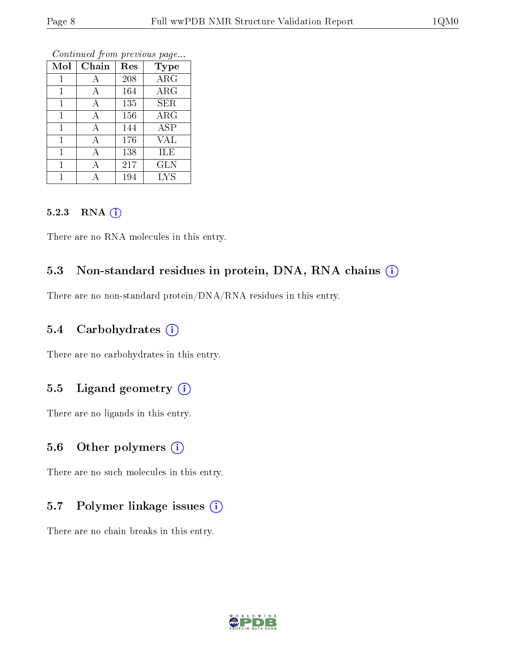| Mol          | Chain | Res | <b>Type</b>             |
|--------------|-------|-----|-------------------------|
|              |       |     |                         |
| 1            | А     | 208 | $\rm{ARG}$              |
| $\mathbf{1}$ | А     | 164 | $\rm{ARG}$              |
| 1            | А     | 135 | <b>SER</b>              |
| 1            | А     | 156 | $\rm{ARG}$              |
| $\mathbf{1}$ | А     | 144 | $\overline{\text{ASP}}$ |
| 1            | А     | 176 | <b>VAL</b>              |
| 1            | А     | 138 | ILE                     |
|              | А     | 217 | <b>GLN</b>              |
|              | А     | 194 | <b>LYS</b>              |

Continued from previous page...

#### 5.2.3 RNA (i)

There are no RNA molecules in this entry.

#### 5.3 Non-standard residues in protein, DNA, RNA chains  $(i)$

There are no non-standard protein/DNA/RNA residues in this entry.

#### 5.4 Carbohydrates  $(i)$

There are no carbohydrates in this entry.

#### 5.5 Ligand geometry  $(i)$

There are no ligands in this entry.

#### 5.6 [O](https://www.wwpdb.org/validation/2017/NMRValidationReportHelp#nonstandard_residues_and_ligands)ther polymers  $(i)$

There are no such molecules in this entry.

#### 5.7 Polymer linkage issues  $(i)$

There are no chain breaks in this entry.